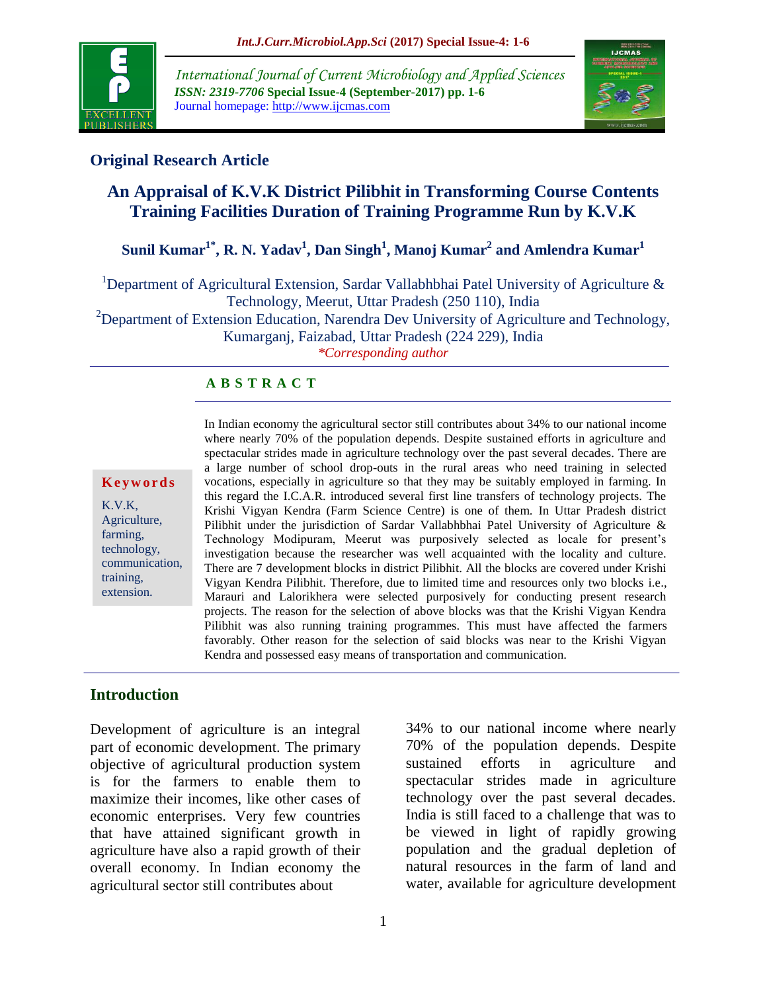

*International Journal of Current Microbiology and Applied Sciences ISSN: 2319-7706* **Special Issue-4 (September-2017) pp. 1-6** Journal homepage: http://www.ijcmas.com



## **Original Research Article**

# **An Appraisal of K.V.K District Pilibhit in Transforming Course Contents Training Facilities Duration of Training Programme Run by K.V.K**

# **Sunil Kumar1\*, R. N. Yadav<sup>1</sup> , Dan Singh<sup>1</sup> , Manoj Kumar<sup>2</sup> and Amlendra Kumar<sup>1</sup>**

<sup>1</sup>Department of Agricultural Extension, Sardar Vallabhbhai Patel University of Agriculture  $\&$ Technology, Meerut, Uttar Pradesh (250 110), India

<sup>2</sup>Department of Extension Education, Narendra Dev University of Agriculture and Technology, Kumarganj, Faizabad, Uttar Pradesh (224 229), India

*\*Corresponding author*

#### **A B S T R A C T**

#### **K e y w o r d s**

K.V.K, Agriculture, farming, technology, communication, training, extension.

In Indian economy the agricultural sector still contributes about 34% to our national income where nearly 70% of the population depends. Despite sustained efforts in agriculture and spectacular strides made in agriculture technology over the past several decades. There are a large number of school drop-outs in the rural areas who need training in selected vocations, especially in agriculture so that they may be suitably employed in farming. In this regard the I.C.A.R. introduced several first line transfers of technology projects. The Krishi Vigyan Kendra (Farm Science Centre) is one of them. In Uttar Pradesh district Pilibhit under the jurisdiction of Sardar Vallabhbhai Patel University of Agriculture & Technology Modipuram, Meerut was purposively selected as locale for present"s investigation because the researcher was well acquainted with the locality and culture. There are 7 development blocks in district Pilibhit. All the blocks are covered under Krishi Vigyan Kendra Pilibhit. Therefore, due to limited time and resources only two blocks i.e., Marauri and Lalorikhera were selected purposively for conducting present research projects. The reason for the selection of above blocks was that the Krishi Vigyan Kendra Pilibhit was also running training programmes. This must have affected the farmers favorably. Other reason for the selection of said blocks was near to the Krishi Vigyan Kendra and possessed easy means of transportation and communication.

#### **Introduction**

Development of agriculture is an integral part of economic development. The primary objective of agricultural production system is for the farmers to enable them to maximize their incomes, like other cases of economic enterprises. Very few countries that have attained significant growth in agriculture have also a rapid growth of their overall economy. In Indian economy the agricultural sector still contributes about

34% to our national income where nearly 70% of the population depends. Despite sustained efforts in agriculture and spectacular strides made in agriculture technology over the past several decades. India is still faced to a challenge that was to be viewed in light of rapidly growing population and the gradual depletion of natural resources in the farm of land and water, available for agriculture development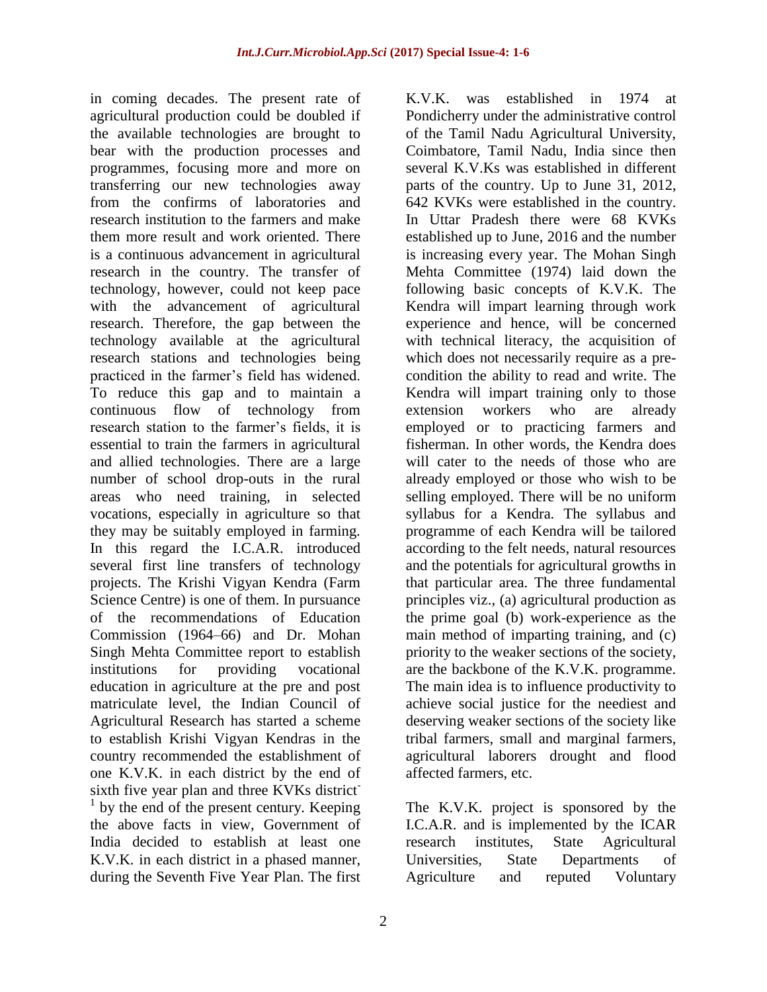in coming decades. The present rate of agricultural production could be doubled if the available technologies are brought to bear with the production processes and programmes, focusing more and more on transferring our new technologies away from the confirms of laboratories and research institution to the farmers and make them more result and work oriented. There is a continuous advancement in agricultural research in the country. The transfer of technology, however, could not keep pace with the advancement of agricultural research. Therefore, the gap between the technology available at the agricultural research stations and technologies being practiced in the farmer"s field has widened. To reduce this gap and to maintain a continuous flow of technology from research station to the farmer's fields, it is essential to train the farmers in agricultural and allied technologies. There are a large number of school drop-outs in the rural areas who need training, in selected vocations, especially in agriculture so that they may be suitably employed in farming. In this regard the I.C.A.R. introduced several first line transfers of technology projects. The Krishi Vigyan Kendra (Farm Science Centre) is one of them. In pursuance of the recommendations of Education Commission (1964–66) and Dr. Mohan Singh Mehta Committee report to establish institutions for providing vocational education in agriculture at the pre and post matriculate level, the Indian Council of Agricultural Research has started a scheme to establish Krishi Vigyan Kendras in the country recommended the establishment of one K.V.K. in each district by the end of sixth five year plan and three KVKs district<sup>-</sup> <sup>1</sup> by the end of the present century. Keeping the above facts in view, Government of India decided to establish at least one K.V.K. in each district in a phased manner, during the Seventh Five Year Plan. The first

K.V.K. was established in 1974 at Pondicherry under the administrative control of the Tamil Nadu Agricultural University, Coimbatore, Tamil Nadu, India since then several K.V.Ks was established in different parts of the country. Up to June 31, 2012, 642 KVKs were established in the country. In Uttar Pradesh there were 68 KVKs established up to June, 2016 and the number is increasing every year. The Mohan Singh Mehta Committee (1974) laid down the following basic concepts of K.V.K. The Kendra will impart learning through work experience and hence, will be concerned with technical literacy, the acquisition of which does not necessarily require as a precondition the ability to read and write. The Kendra will impart training only to those extension workers who are already employed or to practicing farmers and fisherman. In other words, the Kendra does will cater to the needs of those who are already employed or those who wish to be selling employed. There will be no uniform syllabus for a Kendra. The syllabus and programme of each Kendra will be tailored according to the felt needs, natural resources and the potentials for agricultural growths in that particular area. The three fundamental principles viz., (a) agricultural production as the prime goal (b) work-experience as the main method of imparting training, and (c) priority to the weaker sections of the society, are the backbone of the K.V.K. programme. The main idea is to influence productivity to achieve social justice for the neediest and deserving weaker sections of the society like tribal farmers, small and marginal farmers, agricultural laborers drought and flood affected farmers, etc.

The K.V.K. project is sponsored by the I.C.A.R. and is implemented by the ICAR research institutes, State Agricultural Universities, State Departments of Agriculture and reputed Voluntary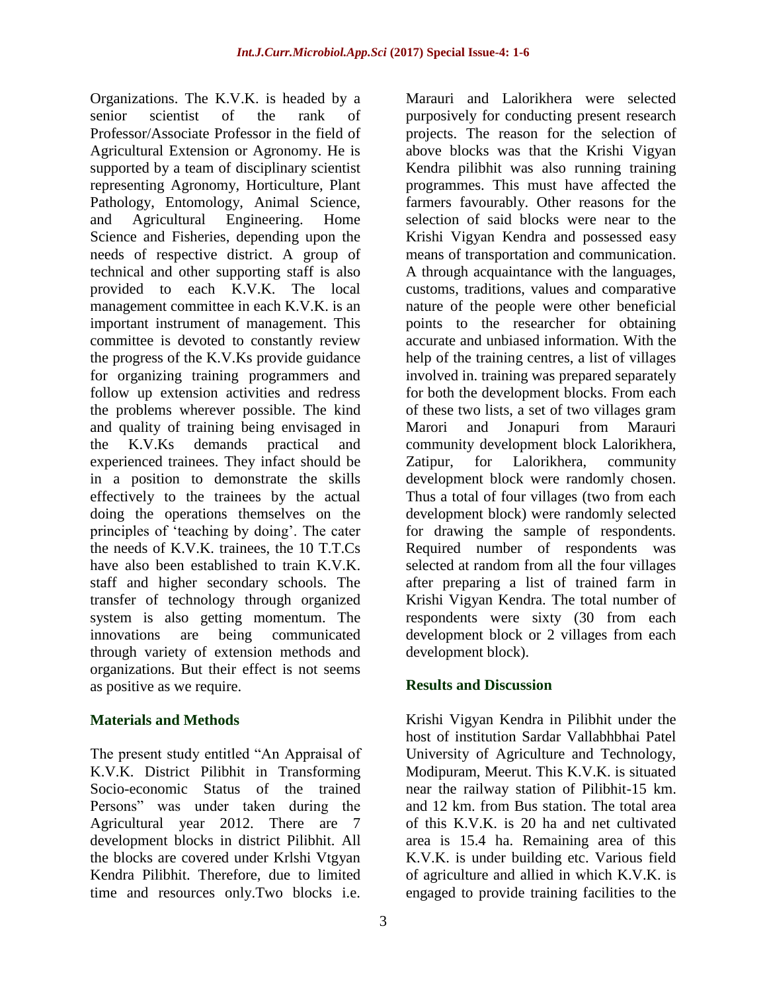Organizations. The K.V.K. is headed by a senior scientist of the rank of Professor/Associate Professor in the field of Agricultural Extension or Agronomy. He is supported by a team of disciplinary scientist representing Agronomy, Horticulture, Plant Pathology, Entomology, Animal Science, and Agricultural Engineering. Home Science and Fisheries, depending upon the needs of respective district. A group of technical and other supporting staff is also provided to each K.V.K. The local management committee in each K.V.K. is an important instrument of management. This committee is devoted to constantly review the progress of the K.V.Ks provide guidance for organizing training programmers and follow up extension activities and redress the problems wherever possible. The kind and quality of training being envisaged in the K.V.Ks demands practical and experienced trainees. They infact should be in a position to demonstrate the skills effectively to the trainees by the actual doing the operations themselves on the principles of "teaching by doing". The cater the needs of K.V.K. trainees, the 10 T.T.Cs have also been established to train K.V.K. staff and higher secondary schools. The transfer of technology through organized system is also getting momentum. The innovations are being communicated through variety of extension methods and organizations. But their effect is not seems as positive as we require.

#### **Materials and Methods**

The present study entitled "An Appraisal of K.V.K. District Pilibhit in Transforming Socio-economic Status of the trained Persons" was under taken during the Agricultural year 2012. There are 7 development blocks in district Pilibhit. All the blocks are covered under Krlshi Vtgyan Kendra Pilibhit. Therefore, due to limited time and resources only.Two blocks i.e.

purposively for conducting present research projects. The reason for the selection of above blocks was that the Krishi Vigyan Kendra pilibhit was also running training programmes. This must have affected the farmers favourably. Other reasons for the selection of said blocks were near to the Krishi Vigyan Kendra and possessed easy means of transportation and communication. A through acquaintance with the languages, customs, traditions, values and comparative nature of the people were other beneficial points to the researcher for obtaining accurate and unbiased information. With the help of the training centres, a list of villages involved in. training was prepared separately for both the development blocks. From each of these two lists, a set of two villages gram Marori and Jonapuri from Marauri community development block Lalorikhera, Zatipur, for Lalorikhera, community development block were randomly chosen. Thus a total of four villages (two from each development block) were randomly selected for drawing the sample of respondents. Required number of respondents was selected at random from all the four villages after preparing a list of trained farm in Krishi Vigyan Kendra. The total number of respondents were sixty (30 from each development block or 2 villages from each development block).

Marauri and Lalorikhera were selected

## **Results and Discussion**

Krishi Vigyan Kendra in Pilibhit under the host of institution Sardar Vallabhbhai Patel University of Agriculture and Technology, Modipuram, Meerut. This K.V.K. is situated near the railway station of Pilibhit-15 km. and 12 km. from Bus station. The total area of this K.V.K. is 20 ha and net cultivated area is 15.4 ha. Remaining area of this K.V.K. is under building etc. Various field of agriculture and allied in which K.V.K. is engaged to provide training facilities to the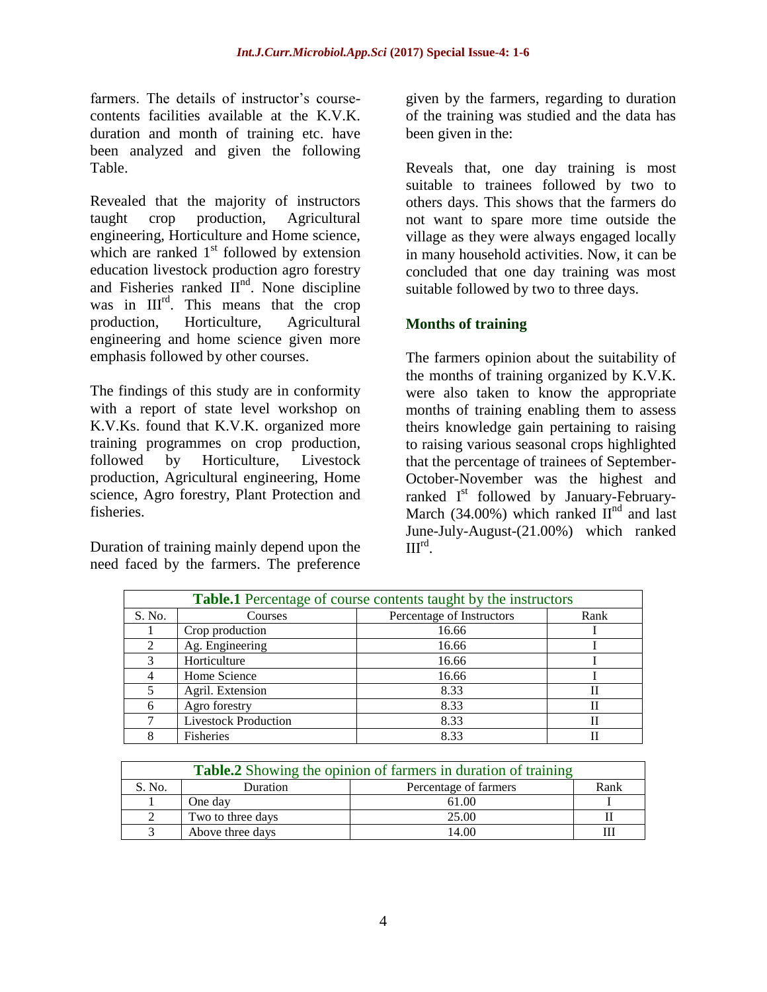farmers. The details of instructor's coursecontents facilities available at the K.V.K. duration and month of training etc. have been analyzed and given the following Table.

Revealed that the majority of instructors taught crop production, Agricultural engineering, Horticulture and Home science, which are ranked  $1<sup>st</sup>$  followed by extension education livestock production agro forestry and Fisheries ranked II<sup>nd</sup>. None discipline was in III<sup>rd</sup>. This means that the crop production, Horticulture, Agricultural engineering and home science given more emphasis followed by other courses.

The findings of this study are in conformity with a report of state level workshop on K.V.Ks. found that K.V.K. organized more training programmes on crop production, followed by Horticulture, Livestock production, Agricultural engineering, Home science, Agro forestry, Plant Protection and fisheries.

Duration of training mainly depend upon the need faced by the farmers. The preference

given by the farmers, regarding to duration of the training was studied and the data has been given in the:

Reveals that, one day training is most suitable to trainees followed by two to others days. This shows that the farmers do not want to spare more time outside the village as they were always engaged locally in many household activities. Now, it can be concluded that one day training was most suitable followed by two to three days.

### **Months of training**

The farmers opinion about the suitability of the months of training organized by K.V.K. were also taken to know the appropriate months of training enabling them to assess theirs knowledge gain pertaining to raising to raising various seasonal crops highlighted that the percentage of trainees of September-October-November was the highest and ranked I<sup>st</sup> followed by January-February-March (34.00%) which ranked  $II<sup>nd</sup>$  and last June-July-August-(21.00%) which ranked  $III^{rd}$ .

| <b>Table.1</b> Percentage of course contents taught by the instructors |                             |                           |      |
|------------------------------------------------------------------------|-----------------------------|---------------------------|------|
| S. No.                                                                 | Courses                     | Percentage of Instructors | Rank |
|                                                                        | Crop production             | 16.66                     |      |
|                                                                        | Ag. Engineering             | 16.66                     |      |
|                                                                        | Horticulture                | 16.66                     |      |
|                                                                        | Home Science                | 16.66                     |      |
|                                                                        | Agril. Extension            | 8.33                      |      |
| 6                                                                      | Agro forestry               | 8.33                      |      |
|                                                                        | <b>Livestock Production</b> | 8.33                      |      |
|                                                                        | <b>Fisheries</b>            | 8.33                      |      |

| <b>Table.2</b> Showing the opinion of farmers in duration of training |                                           |       |  |  |
|-----------------------------------------------------------------------|-------------------------------------------|-------|--|--|
| S. No.                                                                | Rank<br>Percentage of farmers<br>Duration |       |  |  |
|                                                                       | One day                                   | 61.00 |  |  |
|                                                                       | Two to three days                         | 25.00 |  |  |
|                                                                       | Above three days                          | 14 00 |  |  |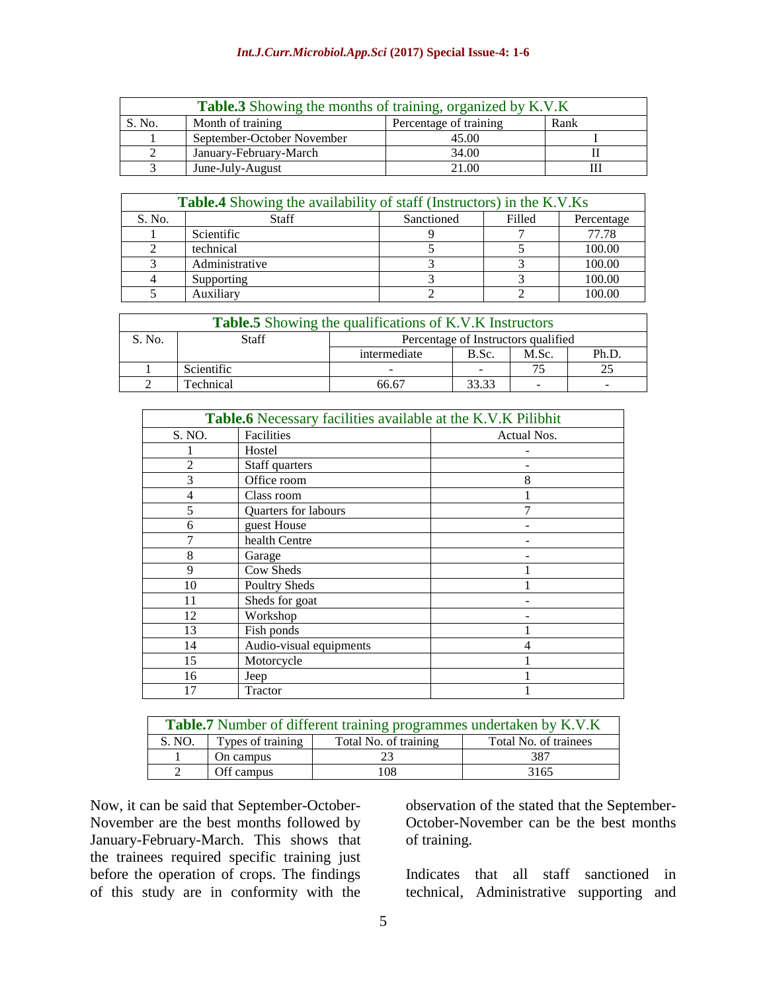#### *Int.J.Curr.Microbiol.App.Sci* **(2017) Special Issue-4: 1-6**

| <b>Table.3</b> Showing the months of training, organized by K.V.K |                            |       |  |  |
|-------------------------------------------------------------------|----------------------------|-------|--|--|
| Percentage of training<br>Month of training<br>Rank<br>S. No.     |                            |       |  |  |
|                                                                   | September-October November | 45.00 |  |  |
|                                                                   | January-February-March     | 34.00 |  |  |
|                                                                   | June-July-August           | 21.00 |  |  |

| <b>Table.4</b> Showing the availability of staff (Instructors) in the K.V.Ks |                |            |        |            |
|------------------------------------------------------------------------------|----------------|------------|--------|------------|
| S. No.                                                                       | <b>Staff</b>   | Sanctioned | Filled | Percentage |
|                                                                              | Scientific     |            |        | 77.78      |
|                                                                              | technical      |            |        | 100.00     |
|                                                                              | Administrative |            |        | 100.00     |
|                                                                              | Supporting     |            |        | 100.00     |
|                                                                              | Auxiliary      |            |        | 100.00     |

| <b>Table.5</b> Showing the qualifications of K.V.K Instructors |            |                                     |       |       |       |
|----------------------------------------------------------------|------------|-------------------------------------|-------|-------|-------|
| S. No.                                                         | Staff      | Percentage of Instructors qualified |       |       |       |
|                                                                |            | intermediate                        | B.Sc. | M.Sc. | Ph.D. |
|                                                                | Scientific |                                     |       |       |       |
|                                                                | Technical  | 56.67                               | 33.33 |       |       |

| <b>Table.6</b> Necessary facilities available at the K.V.K Pilibhit |                         |             |  |  |
|---------------------------------------------------------------------|-------------------------|-------------|--|--|
| S. NO.                                                              | Facilities              | Actual Nos. |  |  |
|                                                                     | Hostel                  |             |  |  |
| $\overline{c}$                                                      | Staff quarters          |             |  |  |
| 3                                                                   | Office room             | 8           |  |  |
| 4                                                                   | Class room              |             |  |  |
| 5                                                                   | Quarters for labours    | 7           |  |  |
| 6                                                                   | guest House             |             |  |  |
|                                                                     | health Centre           |             |  |  |
| 8                                                                   | Garage                  |             |  |  |
| 9                                                                   | Cow Sheds               |             |  |  |
| 10                                                                  | <b>Poultry Sheds</b>    |             |  |  |
| 11                                                                  | Sheds for goat          |             |  |  |
| 12                                                                  | Workshop                |             |  |  |
| 13                                                                  | Fish ponds              |             |  |  |
| 14                                                                  | Audio-visual equipments |             |  |  |
| 15                                                                  | Motorcycle              |             |  |  |
| 16                                                                  | Jeep                    |             |  |  |
| 17                                                                  | Tractor                 |             |  |  |

| <b>Table.7</b> Number of different training programmes undertaken by K.V.K    |            |     |      |  |
|-------------------------------------------------------------------------------|------------|-----|------|--|
| Types of training<br>Total No. of trainees<br>Total No. of training<br>S. NO. |            |     |      |  |
|                                                                               | On campus  |     | 387  |  |
|                                                                               | Off campus | 108 | 3165 |  |

Now, it can be said that September-October-November are the best months followed by January-February-March. This shows that the trainees required specific training just before the operation of crops. The findings of this study are in conformity with the

observation of the stated that the September-October-November can be the best months of training.

Indicates that all staff sanctioned in technical, Administrative supporting and